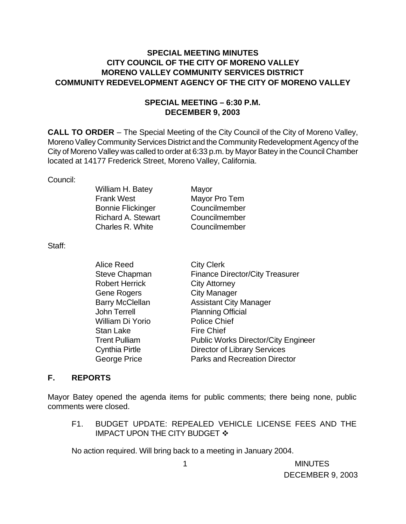## **SPECIAL MEETING MINUTES CITY COUNCIL OF THE CITY OF MORENO VALLEY MORENO VALLEY COMMUNITY SERVICES DISTRICT COMMUNITY REDEVELOPMENT AGENCY OF THE CITY OF MORENO VALLEY**

## **SPECIAL MEETING – 6:30 P.M. DECEMBER 9, 2003**

**CALL TO ORDER** – The Special Meeting of the City Council of the City of Moreno Valley, Moreno Valley Community Services District and the Community Redevelopment Agency of the City of Moreno Valley was called to order at 6:33 p.m. by Mayor Batey in the Council Chamber located at 14177 Frederick Street, Moreno Valley, California.

## Council:

| Mayor         |
|---------------|
| Mayor Pro Tem |
| Councilmember |
| Councilmember |
| Councilmember |
|               |

Staff:

| Alice Reed             | <b>City Clerk</b>                          |
|------------------------|--------------------------------------------|
| <b>Steve Chapman</b>   | <b>Finance Director/City Treasurer</b>     |
| <b>Robert Herrick</b>  | <b>City Attorney</b>                       |
| Gene Rogers            | <b>City Manager</b>                        |
| <b>Barry McClellan</b> | <b>Assistant City Manager</b>              |
| John Terrell           | <b>Planning Official</b>                   |
| William Di Yorio       | <b>Police Chief</b>                        |
| Stan Lake              | <b>Fire Chief</b>                          |
| <b>Trent Pulliam</b>   | <b>Public Works Director/City Engineer</b> |
| Cynthia Pirtle         | <b>Director of Library Services</b>        |
| George Price           | <b>Parks and Recreation Director</b>       |
|                        |                                            |

## **F. REPORTS**

Mayor Batey opened the agenda items for public comments; there being none, public comments were closed.

F1. BUDGET UPDATE: REPEALED VEHICLE LICENSE FEES AND THE IMPACT UPON THE CITY BUDGET  $\cdot$ 

No action required. Will bring back to a meeting in January 2004.